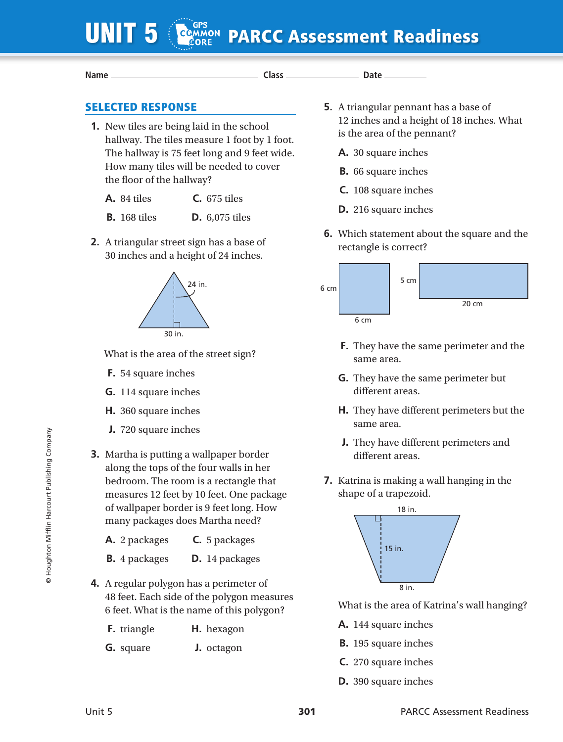## COMMON PARCC Assessment Readiness

**Name Class Date** 

## SELECTED RESPONSE

- **1.** New tiles are being laid in the school hallway. The tiles measure 1 foot by 1 foot. The hallway is 75 feet long and 9 feet wide. How many tiles will be needed to cover the floor of the hallway?
	- **A.** 84 tiles **C.** 675 tiles
	- **B.** 168 tiles **D.** 6,075 tiles
- **2.** A triangular street sign has a base of 30 inches and a height of 24 inches.



What is the area of the street sign?

- **F.** 54 square inches
- **G.** 114 square inches
- **H.** 360 square inches
- **J.** 720 square inches
- **3.** Martha is putting a wallpaper border along the tops of the four walls in her bedroom. The room is a rectangle that measures 12 feet by 10 feet. One package of wallpaper border is 9 feet long. How many packages does Martha need?
	- **A.** 2 packages **C.** 5 packages
	- **B.** 4 packages **D.** 14 packages
- **4.** A regular polygon has a perimeter of 48 feet. Each side of the polygon measures 6 feet. What is the name of this polygon?
	- **F.** triangle **H.** hexagon
	- **G.** square **J.** octagon
- **5.** A triangular pennant has a base of 12 inches and a height of 18 inches. What is the area of the pennant?
	- **A.** 30 square inches
	- **B.** 66 square inches
	- **C.** 108 square inches
	- **D.** 216 square inches
- **6.** Which statement about the square and the rectangle is correct?



- **F.** They have the same perimeter and the same area.
- **G.** They have the same perimeter but different areas.
- **H.** They have different perimeters but the same area.
- **J.** They have different perimeters and different areas.
- **7.** Katrina is making a wall hanging in the shape of a trapezoid.



What is the area of Katrina's wall hanging?

- **A.** 144 square inches
- **B.** 195 square inches
- **C.** 270 square inches
- **D.** 390 square inches